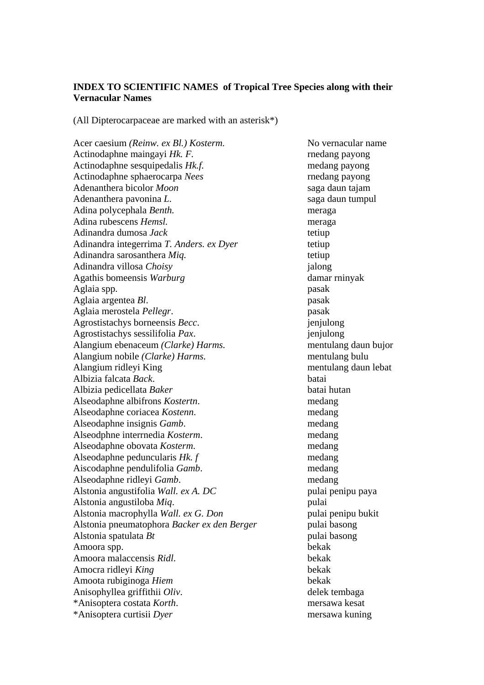## **INDEX TO SCIENTIFIC NAMES of Tropical Tree Species along with their Vernacular Names**

(All Dipterocarpaceae are marked with an asterisk\*)

Acer caesium *(Reinw. ex Bl.) Kosterm.* No vernacular name Actinodaphne maingayi *Hk. F.* rnedang payong Actinodaphne sesquipedalis *Hk.f.* medang payong Actinodaphne sphaerocarpa *Nees* rnedang payong Adenanthera bicolor *Moon* saga daun tajam Adenanthera pavonina *L*. saga daun tumpul Adina polycephala *Benth.* meraga Adina rubescens *Hemsl.* meraga Adinandra dumosa *Jack* tetiup Adinandra integerrima *T. Anders. ex Dyer* tetiup Adinandra sarosanthera *Mig.* **the example of the example of the example of the example of the example of the example of the example of the example of the example of the example of the example of the example of the example** Adinandra villosa *Choisy* jalong Agathis bomeensis *Warburg* damar rninyak Aglaia spp. pasak Aglaia argentea *Bl*. pasak Aglaia merostela *Pellegr*. pasak Agrostistachys borneensis *Becc*. jenjulong Agrostistachys sessilifolia *Pax*. jenjulong Alangium ebenaceum *(Clarke) Harms.* mentulang daun bujor Alangium nobile *(Clarke) Harms*. mentulang bulu Alangium ridleyi King mentulang daun lebat Albizia falcata *Back*. batai Albizia pedicellata *Baker* batai hutan Alseodaphne albifrons *Kostertn*. medang Alseodaphne coriacea *Kostenn*. medang Alseodaphne insignis *Gamb*. medang Alseodphne interrnedia *Kosterm*. medang Alseodaphne obovata *Kosterm*. medang Alseodaphne peduncularis *Hk. f* medang Aiscodaphne pendulifolia *Gamb*. medang Alseodaphne ridleyi *Gamb*. medang Alstonia angustifolia *Wall. ex A. DC* pulai penipu paya Alstonia angustiloba *Miq*. pulai Alstonia macrophylla *Wall. ex G. Don* pulai penipu bukit Alstonia pneumatophora *Backer ex den Berger* pulai basong Alstonia spatulata *Bt* pulai basong Amoora spp. bekak Amoora malaccensis *Ridl*. bekak Amocra ridleyi *King* bekak Amoota rubiginoga *Hiem* bekak Anisophyllea griffithii *Oliv*. delek tembaga \*Anisoptera costata *Korth*. mersawa kesat \*Anisoptera curtisii *Dyer* mersawa kuning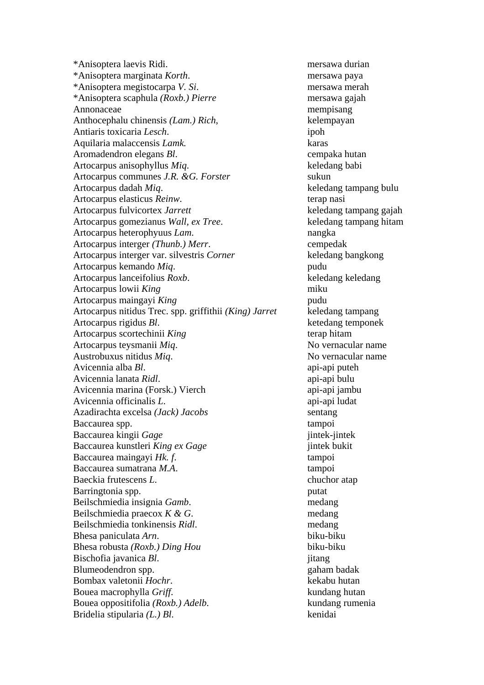\*Anisoptera laevis Ridi. mersawa durian \*Anisoptera marginata *Korth*. mersawa paya \*Anisoptera megistocarpa *V. Si*. mersawa merah \*Anisoptera scaphula *(Roxb.) Pierre* mersawa gajah Annonaceae mempisang mempisang Anthocephalu chinensis *(Lam.) Rich*, kelempayan Antiaris toxicaria *Lesch*. ipoh Aquilaria malaccensis *Lamk.* karas Aromadendron elegans *Bl*. cempaka hutan Artocarpus anisophyllus *Miq*. keledang babi Artocarpus communes *J.R. &G. Forster* sukun Artocarpus dadah *Miq*. keledang tampang bulu Artocarpus elasticus *Reinw*. terap nasi Artocarpus fulvicortex *Jarrett* keledang tampang gajah Artocarpus gomezianus *Wall, ex Tree*. keledang tampang hitam Artocarpus heterophyuus *Lam*. nangka Artocarpus interger *(Thunb.) Merr*. cempedak Artocarpus interger var. silvestris *Corner* keledang bangkong Artocarpus kemando *Miq*. pudu Artocarpus lanceifolius *Roxb*. keledang keledang Artocarpus lowii *King* miku Artocarpus maingayi *King* pudu Artocarpus nitidus Trec. spp. griffithii *(King) Jarret* keledang tampang Artocarpus rigidus *Bl*. ketedang temponek Artocarpus scortechinii *King* terap hitam Artocarpus teysmanii *Miq*. No vernacular name Austrobuxus nitidus *Miq*. No vernacular name Avicennia alba *Bl*. api-api puteh Avicennia lanata *Ridl*. api-api bulu Avicennia marina (Forsk.) Vierch api-api jambu Avicennia officinalis *L*. api-api ludat Azadirachta excelsa *(Jack) Jacobs* sentang Baccaurea spp. tampoi Baccaurea kingii *Gage* jintek-jintek Baccaurea kunstleri *King ex Gage* jintek bukit Baccaurea maingayi *Hk. f.* tampoi Baccaurea sumatrana *M.A*. tampoi Baeckia frutescens *L*. chuchor atap Barringtonia spp. putat Beilschmiedia insignia *Gamb*. medang Beilschmiedia praecox *K & G*. medang Beilschmiedia tonkinensis *Ridl*. medang Bhesa paniculata *Arn*. biku-biku Bhesa robusta *(Roxb.) Ding Hou* biku-biku Bischofia javanica *Bl*. *jitang* Blumeodendron spp.  $\Box$  gaham badak Bombax valetonii *Hochr*. kekabu hutan Bouea macrophylla *Griff*. kundang hutan Bouea oppositifolia *(Roxb.) Adelb*. kundang rumenia Bridelia stipularia *(L.) Bl*. kenidai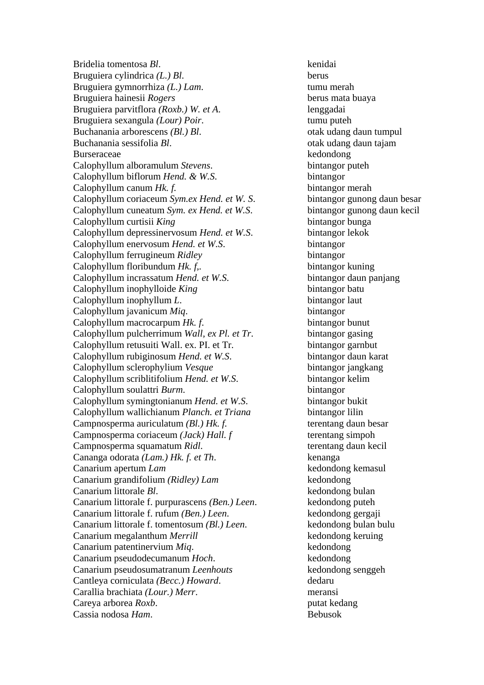Bridelia tomentosa *Bl*. kenidai Bruguiera cylindrica *(L.) Bl*. berus Bruguiera gymnorrhiza *(L.) Lam*. tumu merah Bruguiera hainesii *Rogers* berus mata buaya Bruguiera parvitflora *(Roxb.) W. et A*. lenggadai Bruguiera sexangula *(Lour) Poir*. tumu puteh Buchanania arborescens *(Bl.) Bl.* otak udang daun tumpul Buchanania sessifolia *Bl*. otak udang daun tajam Burseraceae kedondong kedondong Calophyllum alboramulum *Stevens*. bintangor puteh Calophyllum biflorum *Hend. & W.S*. bintangor Calophyllum canum *Hk. f.* bintangor merah Calophyllum coriaceum *Sym.ex Hend. et W. S.* bintangor gunong daun besar Calophyllum cuneatum *Sym. ex Hend. et W.S*. bintangor gunong daun kecil Calophyllum curtisii *King* bintangor bunga Calophyllum depressinervosum *Hend. et W.S*. bintangor lekok Calophyllum enervosum *Hend. et W.S*. bintangor Calophyllum ferrugineum *Ridley* bintangor Calophyllum floribundum *Hk. f..* bintangor kuning Calophyllum incrassatum *Hend. et W.S*. bintangor daun panjang Calophyllum inophylloide *King* bintangor batu Calophyllum inophyllum *L*. bintangor laut Calophyllum javanicum *Miq*. bintangor Calophyllum macrocarpum *Hk. f*. bintangor bunut Calophyllum pulcherrimum *Wall, ex Pl. et Tr*. bintangor gasing Calophyllum retusuiti Wall. ex. PI. et Tr. bintangor garnbut Calophyllum rubiginosum *Hend. et W.S.* bintangor daun karat Calophyllum sclerophylium *Vesque* bintangor jangkang Calophyllum scriblitifolium *Hend. et W.S*. bintangor kelim Calophyllum soulattri *Burm*. bintangor Calophyllum symingtonianum *Hend. et W.S*. bintangor bukit Calophyllum wallichianum *Planch. et Triana* bintangor lilin Campnosperma auriculatum *(Bl.) Hk. f.* terentang daun besar Campnosperma coriaceum *(Jack) Hall. f* terentang simpoh Campnosperma squamatum *Ridl*. terentang daun kecil Cananga odorata *(Lam.) Hk. f. et Th*. kenanga Canarium apertum *Lam* kedondong kemasul Canarium grandifolium *(Ridley) Lam* kedondong Canarium littorale *Bl*. kedondong bulan Canarium littorale f. purpurascens *(Ben.) Leen*. kedondong puteh Canarium littorale f. rufum *(Ben.) Leen*. kedondong gergaji Canarium littorale f. tomentosum *(Bl.) Leen*. kedondong bulan bulu Canarium megalanthum *Merrill* kedondong keruing Canarium patentinervium *Miq*. kedondong Canarium pseudodecumanum *Hoch*. kedondong Canarium pseudosumatranum *Leenhouts* **kedondong senggeh** Cantleya corniculata *(Becc.) Howard*. dedaru Carallia brachiata *(Lour.) Merr*. meransi Careya arborea *Roxb*. **putat kedang** Cassia nodosa *Ham*. Bebusok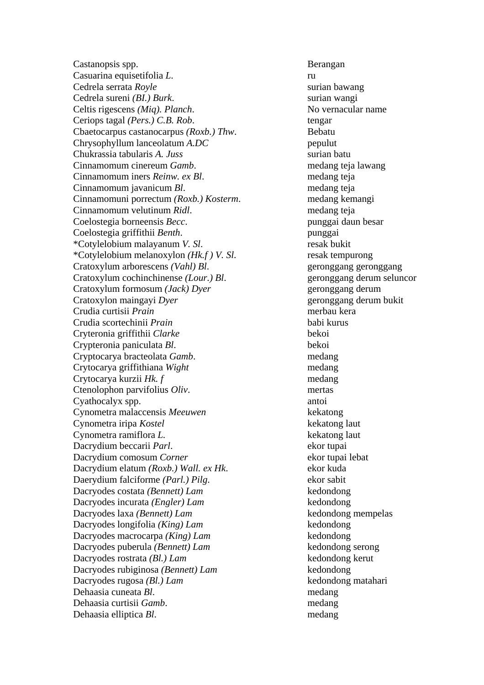Castanopsis spp. Berangan Casuarina equisetifolia *L*. Cedrela serrata *Royle* surian bawang Cedrela sureni *(BI.) Burk*. surian wangi Celtis rigescens *(Miq). Planch*. No vernacular name Ceriops tagal *(Pers.) C.B. Rob*. tengar Cbaetocarpus castanocarpus *(Roxb.) Thw*. Bebatu Chrysophyllum lanceolatum *A.DC* pepulut Chukrassia tabularis *A. Juss* surian batu Cinnamomum cinereum *Gamb*. medang teja lawang Cinnamomum iners *Reinw. ex Bl*. medang teja Cinnamomum javanicum *Bl*. medang teja Cinnamomuni porrectum *(Roxb.) Kosterm*. medang kemangi Cinnamomum velutinum *Ridl*. medang teja Coelostegia borneensis *Becc*. punggai daun besar Coelostegia griffithii *Benth*. punggai \*Cotylelobium malayanum *V. Sl*. resak bukit \*Cotylelobium melanoxylon *(Hk.f ) V. Sl*. resak tempurong Cratoxylum arborescens *(Vahl) Bl.* geronggang geronggang Cratoxylum cochinchinense *(Lour.) Bl*. geronggang derum seluncor Cratoxylum formosum *(Jack) Dyer* geronggang derum Cratoxylon maingayi *Dyer* geronggang derum bukit Crudia curtisii *Prain* merbau kera Crudia scortechinii *Prain* babi kurus Cryteronia griffithii *Clarke* bekoi Crypteronia paniculata *Bl*. bekoi Cryptocarya bracteolata *Gamb*. medang Crytocarya griffithiana *Wight* medang Crytocarya kurzii *Hk. f* medang Ctenolophon parvifolius *Oliv*. mertas Cyathocalyx spp. antoi Cynometra malaccensis *Meeuwen* kekatong Cynometra iripa *Kostel* kekatong laut Cynometra ramiflora *L.* kekatong laut Dacrydium beccarii *Parl*. ekor tupai Dacrydium comosum *Corner* ekor tupai lebat Dacrydium elatum *(Roxb.) Wall. ex Hk.* ekor kuda Daerydium falciforme *(Parl.) Pilg*. ekor sabit Dacryodes costata *(Bennett) Lam* kedondong Dacryodes incurata *(Engler) Lam* kedondong Dacryodes laxa *(Bennett) Lam* kedondong mempelas Dacryodes longifolia *(King) Lam* kedondong Dacryodes macrocarpa *(King) Lam* kedondong Dacryodes puberula *(Bennett) Lam* kedondong serong Dacryodes rostrata *(Bl.) Lam* kedondong kerut Dacryodes rubiginosa *(Bennett) Lam* kedondong Dacryodes rugosa *(Bl.) Lam* kedondong matahari Dehaasia cuneata *Bl*. medang Dehaasia curtisii *Gamb*. medang Dehaasia elliptica *Bl*. medang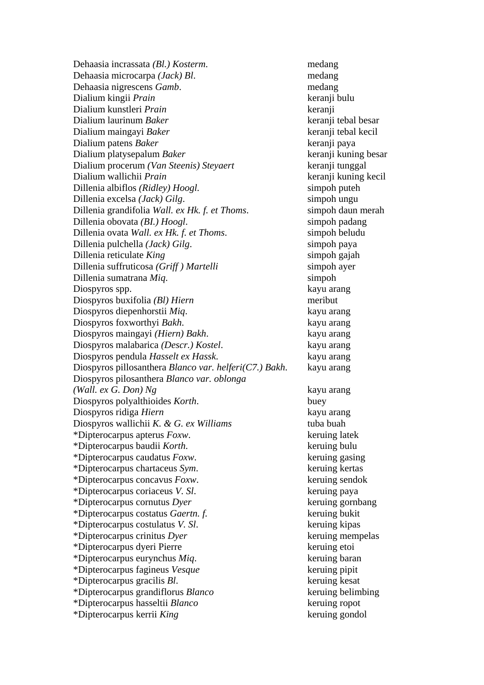Dehaasia incrassata *(Bl.) Kosterm*. medang Dehaasia microcarpa *(Jack) Bl*. medang Dehaasia nigrescens *Gamb*. medang Dialium kingii *Prain* keranji bulu Dialium kunstleri *Prain* keranji Dialium laurinum *Baker* keranji tebal besar Dialium maingayi *Baker* keranji tebal kecil Dialium patens *Baker* keranji paya Dialium platysepalum *Baker* keranji kuning besar Dialium procerum *(Van Steenis) Steyaert* keranji tunggal Dialium wallichii *Prain* keranji kuning kecil Dillenia albiflos *(Ridley) Hoogl.* simpoh puteh Dillenia excelsa *(Jack) Gilg*. simpoh ungu Dillenia grandifolia *Wall. ex Hk. f. et Thoms*. simpoh daun merah Dillenia obovata *(BI.) Hoogl*. simpoh padang Dillenia ovata *Wall. ex Hk. f. et Thoms*. simpoh beludu Dillenia pulchella *(Jack) Gilg*. simpoh paya Dillenia reticulate *King* simpoh gajah Dillenia suffruticosa *(Griff)* Martelli simpoh ayer Dillenia sumatrana *Miq*. simpoh Diospyros spp. kayu arang Diospyros buxifolia *(Bl) Hiern* meribut Diospyros diepenhorstii *Miq*. kayu arang Diospyros foxworthyi *Bakh*. kayu arang Diospyros maingayi *(Hiern) Bakh*. kayu arang Diospyros malabarica *(Descr.) Kostel*. kayu arang Diospyros pendula *Hasselt ex Hassk*. kayu arang Diospyros pillosanthera *Blanco var. helferi(C7.) Bakh*. kayu arang Diospyros pilosanthera *Blanco var. oblonga (Wall. ex G. Don) Ng* kayu arang Diospyros polyalthioides *Korth*. buey Diospyros ridiga *Hiern* kayu arang Diospyros wallichii *K. & G. ex Williams* tuba buah \*Dipterocarpus apterus *Foxw*. keruing latek \*Dipterocarpus baudii *Korth*. keruing bulu \*Dipterocarpus caudatus *Foxw*. keruing gasing \*Dipterocarpus chartaceus *Sym*. keruing kertas \*Dipterocarpus concavus *Foxw*. keruing sendok \*Dipterocarpus coriaceus *V. Sl*. keruing paya \*Dipterocarpus cornutus *Dyer* keruing gornbang \*Dipterocarpus costatus *Gaertn. f.* keruing bukit \*Dipterocarpus costulatus *V. Sl*. keruing kipas \*Dipterocarpus crinitus *Dyer* keruing mempelas \*Dipterocarpus dyeri Pierre keruing etoi \*Dipterocarpus eurynchus *Miq*. keruing baran \*Dipterocarpus fagineus *Vesque* keruing pipit \*Dipterocarpus gracilis *Bl*. keruing kesat \*Dipterocarpus grandiflorus *Blanco* keruing belimbing \*Dipterocarpus hasseltii *Blanco* keruing ropot \*Dipterocarpus kerrii *King* keruing gondol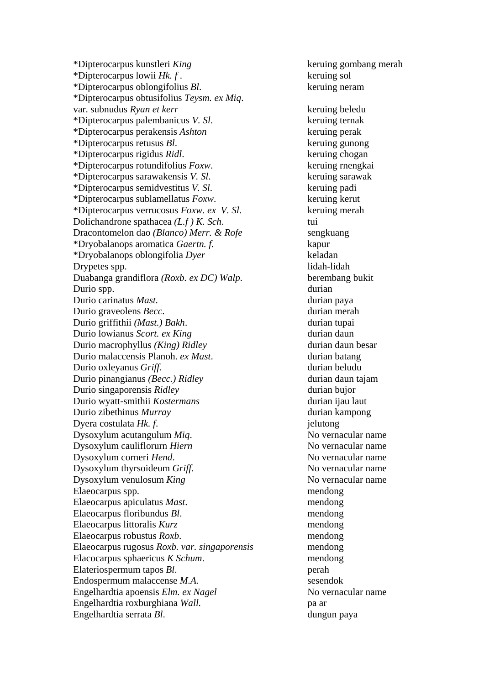\*Dipterocarpus kunstleri *King* keruing gombang merah \*Dipterocarpus lowii *Hk. f* . keruing sol \*Dipterocarpus oblongifolius *Bl*. keruing neram \*Dipterocarpus obtusifolius *Teysm. ex Miq*. var. subnudus *Ryan et kerr* keruing beledu \*Dipterocarpus palembanicus *V. Sl*. keruing ternak \*Dipterocarpus perakensis *Ashton* keruing perak \*Dipterocarpus retusus *Bl*. keruing gunong \*Dipterocarpus rigidus *Ridl*. keruing chogan \*Dipterocarpus rotundifolius *Foxw*. keruing rnengkai \*Dipterocarpus sarawakensis *V. Sl*. keruing sarawak \*Dipterocarpus semidvestitus *V. Sl*. keruing padi \*Dipterocarpus sublamellatus *Foxw*. keruing kerut \*Dipterocarpus verrucosus *Foxw. ex V. Sl*. keruing merah Dolichandrone spathacea *(L.f ) K. Sch*. tui Dracontomelon dao *(Blanco) Merr. & Rofe* sengkuang \*Dryobalanops aromatica *Gaertn. f.* kapur \*Dryobalanops oblongifolia *Dyer* keladan Drypetes spp. lidah-lidah Duabanga grandiflora *(Roxb. ex DC) Walp*. berembang bukit Durio spp.  $\qquad \qquad \text{durian}$ Durio carinatus *Mast*. **durian paya** Durio graveolens *Becc*. durian merah Durio griffithii *(Mast.) Bakh*. durian tupai Durio lowianus *Scort. ex King* durian daun Durio macrophyllus *(King) Ridley* durian daun besar Durio malaccensis Planoh. *ex Mast*. durian batang Durio oxleyanus *Griff*. durian beludu Durio pinangianus *(Becc.) Ridley* durian daun tajam **Durio singaporensis** *Ridley* durian bujor Durio wyatt-smithii *Kostermans* durian ijau laut Durio zibethinus *Murray* durian kampong Dyera costulata *Hk. f.* jelutong Dysoxylum acutangulum *Miq*. No vernacular name Dysoxylum cauliflorurn *Hiern* No vernacular name Dysoxylum corneri *Hend*. No vernacular name Dysoxylum thyrsoideum *Griff*. No vernacular name Dysoxylum venulosum *King* No vernacular name Elaeocarpus spp. mendong Elaeocarpus apiculatus *Mast*. mendong Elaeocarpus floribundus *Bl*. mendong Elaeocarpus littoralis *Kurz* mendong Elaeocarpus robustus *Roxb*. mendong Elaeocarpus rugosus *Roxb. var. singaporensis* mendong Elacocarpus sphaericus *K Schum*. mendong Elateriospermum tapos *Bl*. perah Endospermum malaccense *M.A.* sesendok Engelhardtia apoensis *Elm. ex Nagel* No vernacular name Engelhardtia roxburghiana *Wall.* pa ar Engelhardtia serrata *Bl*. dungun paya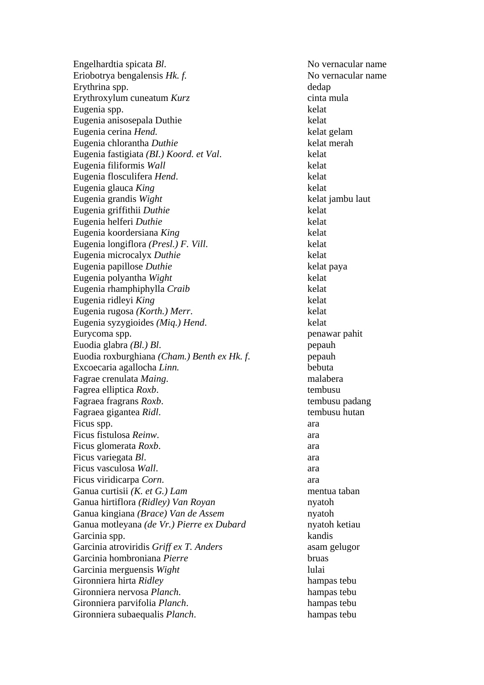Engelhardtia spicata *Bl*. No vernacular name Eriobotrya bengalensis *Hk. f.* No vernacular name Erythrina spp. dedap Erythroxylum cuneatum *Kurz* cinta mula Eugenia spp. kelat Eugenia anisosepala Duthie kelat Eugenia cerina *Hend.* kelat gelam Eugenia chlorantha *Duthie* kelat merah Eugenia fastigiata *(BI.) Koord. et Val*. kelat Eugenia filiformis *Wall* kelat Eugenia flosculifera *Hend*. kelat Eugenia glauca *King* kelat Eugenia grandis *Wight* kelat jambu laut Eugenia griffithii *Duthie* kelat Eugenia helferi *Duthie* kelat Eugenia koordersiana *King* kelat Eugenia longiflora *(Presl.) F. Vill*. kelat Eugenia microcalyx *Duthie* kelat Eugenia papillose *Duthie* kelat paya Eugenia polyantha *Wight* kelat Eugenia rhamphiphylla *Craib* kelat Eugenia ridleyi *King* kelat Eugenia rugosa *(Korth.) Merr*. kelat Eugenia syzygioides *(Miq.) Hend*. kelat Eurycoma spp. penawar pahit Euodia glabra *(Bl.) Bl.* pepauh Euodia roxburghiana *(Cham.) Benth ex Hk. f*. pepauh Excoecaria agallocha *Linn.* bebuta Fagrae crenulata *Maing*. malabera Fagrea elliptica *Roxb*. tembusu Fagraea fragrans *Roxb*. tembusu padang Fagraea gigantea *Ridl*. tembusu hutan Ficus spp.  $\qquad \qquad \text{area}$ Ficus fistulosa *Reinw*. ara Ficus glomerata *Roxb*. ara Ficus variegata *Bl*. ara Ficus vasculosa *Wall*. ara Ficus viridicarpa *Corn*. ara Ganua curtisii *(K. et G.) Lam* mentua taban Ganua hirtiflora *(Ridley) Van Royan* nyatoh Ganua kingiana *(Brace) Van de Assem* nyatoh Ganua motleyana *(de Vr.) Pierre ex Dubard* nyatoh ketiau Garcinia spp. kandis Garcinia atroviridis *Griff ex T. Anders* asam gelugor Garcinia hombroniana *Pierre* bruas Garcinia merguensis *Wight* lulai Gironniera hirta *Ridley* hampas tebu Gironniera nervosa *Planch*. hampas tebu Gironniera parvifolia *Planch*. hampas tebu Gironniera subaequalis *Planch*. hampas tebu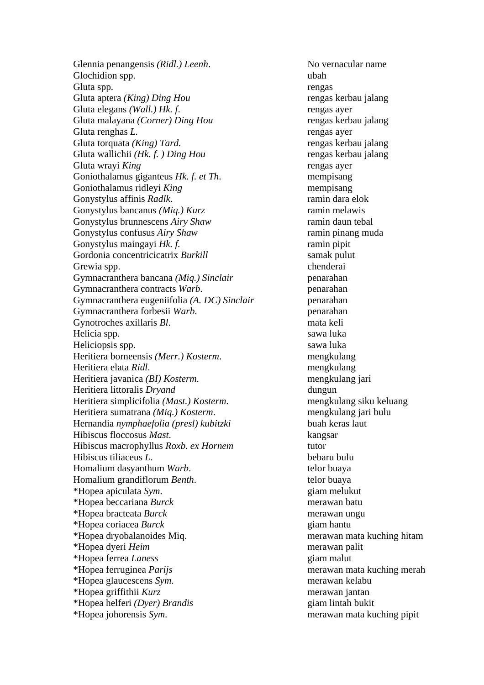Glennia penangensis *(Ridl.) Leenh*. No vernacular name Glochidion spp. ubah Gluta spp. rengas Gluta aptera *(King) Ding Hou* rengas kerbau jalang Gluta elegans *(Wall.) Hk. f.* rengas ayer Gluta malayana *(Corner) Ding Hou* rengas kerbau jalang Gluta renghas L. Gluta torquata *(King) Tard.* rengas kerbau jalang Gluta wallichii *(Hk. f. ) Ding Hou* rengas kerbau jalang Gluta wrayi *King* rengas aver Goniothalamus giganteus *Hk. f. et Th*. mempisang Goniothalamus ridleyi *King* mempisang Gonystylus affinis *Radlk*. The ramin dara elok Gonystylus bancanus *(Miq.) Kurz* ramin melawis Gonystylus brunnescens *Airy Shaw* ramin daun tebal Gonystylus confusus *Airy Shaw* ramin pinang muda Gonystylus maingayi *Hk. f.* ramin pipit Gordonia concentricicatrix *Burkill* samak pulut Grewia spp.  $\blacksquare$ Gymnacranthera bancana *(Miq.) Sinclair* penarahan Gymnacranthera contracts *Warb*. penarahan Gymnacranthera eugeniifolia *(A. DC) Sinclair* penarahan Gymnacranthera forbesii *Warb*. penarahan Gynotroches axillaris *Bl*. mata keli Helicia spp. sawa luka Heliciopsis spp. sawa luka Heritiera borneensis *(Merr.) Kosterm*. mengkulang Heritiera elata *Ridl*. mengkulang Heritiera javanica *(BI) Kosterm*. mengkulang jari Heritiera littoralis *Dryand* dungun Heritiera simplicifolia *(Mast.) Kosterm*. mengkulang siku keluang Heritiera sumatrana *(Miq.) Kosterm*. mengkulang jari bulu Hernandia *nymphaefolia (presl) kubitzki* buah keras laut Hibiscus floccosus *Mast*. kangsar Hibiscus macrophyllus *Roxb. ex Hornem* tutor Hibiscus tiliaceus *L*. bebaru bulu Homalium dasyanthum *Warb*. telor buaya Homalium grandiflorum *Benth*. telor buaya \*Hopea apiculata *Sym*. giam melukut \*Hopea beccariana *Burck* merawan batu \*Hopea bracteata *Burck* merawan ungu \*Hopea coriacea *Burck* giam hantu \*Hopea dryobalanoides Miq. merawan mata kuching hitam \*Hopea dyeri *Heim* merawan palit \*Hopea ferrea *Laness* giam malut \*Hopea ferruginea *Parijs* merawan mata kuching merah \*Hopea glaucescens *Sym*. merawan kelabu \*Hopea griffithii *Kurz* merawan jantan \*Hopea helferi *(Dyer) Brandis* giam lintah bukit

\*Hopea johorensis *Sym*. merawan mata kuching pipit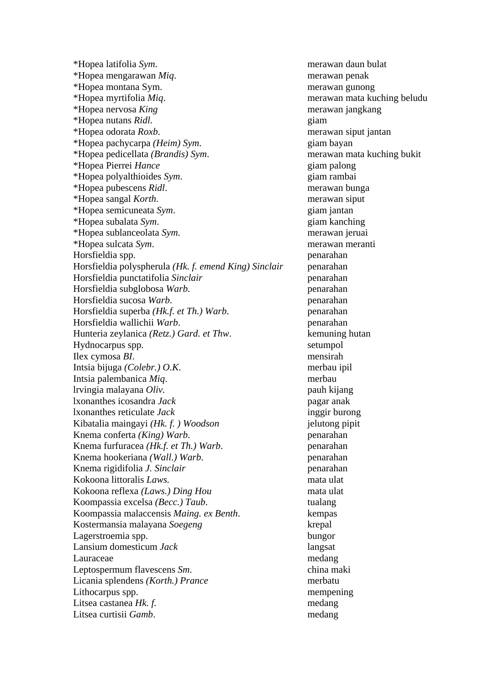\*Hopea latifolia *Sym*. merawan daun bulat \*Hopea mengarawan *Miq*. merawan penak \*Hopea montana Sym. merawan gunong \*Hopea myrtifolia *Miq*. merawan mata kuching beludu \*Hopea nervosa *King* merawan jangkang \*Hopea nutans *Ridl.* giam \*Hopea odorata *Roxb*. merawan siput jantan \*Hopea pachycarpa *(Heim) Sym*. giam bayan \*Hopea pedicellata *(Brandis) Sym*. merawan mata kuching bukit \*Hopea Pierrei *Hance* giam palong \*Hopea polyalthioides *Sym*. giam rambai \*Hopea pubescens *Ridl*. merawan bunga \*Hopea sangal *Korth*. merawan siput \*Hopea semicuneata *Sym*. giam jantan \*Hopea subalata *Sym*. giam kanching \*Hopea sublanceolata *Sym*. merawan jeruai \*Hopea sulcata *Sym*. merawan meranti Horsfieldia spp. penarahan Horsfieldia polyspherula *(Hk. f. emend King) Sinclair* penarahan Horsfieldia punctatifolia *Sinclair* penarahan Horsfieldia subglobosa *Warb*. penarahan Horsfieldia sucosa *Warb*. penarahan Horsfieldia superba *(Hk.f. et Th.) Warb*. penarahan Horsfieldia wallichii *Warb*. penarahan Hunteria zeylanica *(Retz.) Gard. et Thw*. kemuning hutan Hydnocarpus spp. setumpol Ilex cymosa *BI*. mensirah Intsia bijuga *(Colebr.) O.K*. merbau ipil Intsia palembanica *Miq*. merbau lrvingia malayana *Oliv.* pauh kijang lxonanthes icosandra *Jack* pagar anak lxonanthes reticulate *Jack* inggir burong Kibatalia maingayi *(Hk. f. ) Woodson* jelutong pipit Knema conferta *(King) Warb*. penarahan Knema furfuracea *(Hk.f. et Th.) Warb*. penarahan Knema hookeriana *(Wall.) Warb*. penarahan Knema rigidifolia *J. Sinclair* penarahan Kokoona littoralis *Laws.* mata ulat Kokoona reflexa *(Laws.) Ding Hou* mata ulat Koompassia excelsa *(Becc.) Taub*. tualang Koompassia malaccensis *Maing. ex Benth*. kempas Kostermansia malayana *Soegeng* krepal Lagerstroemia spp. bungor Lansium domesticum *Jack* langsat Lauraceae medang medang Leptospermum flavescens *Sm*. china maki Licania splendens *(Korth.) Prance* merbatu Lithocarpus spp. mempening Litsea castanea *Hk. f.* medang Litsea curtisii *Gamb*. medang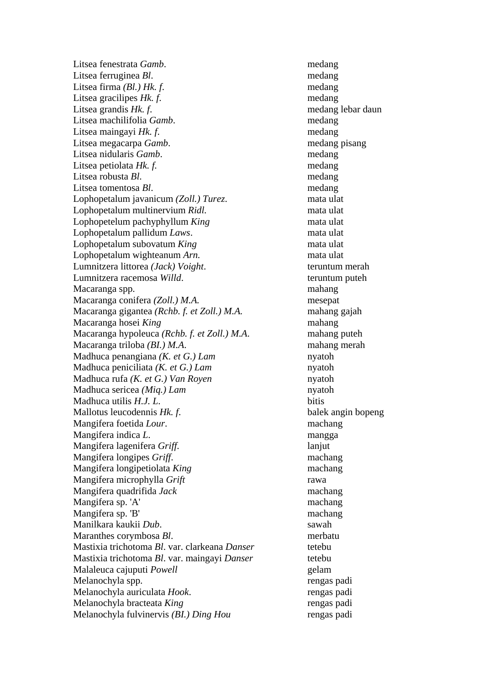Litsea fenestrata *Gamb*. medang Litsea ferruginea *Bl*. medang Litsea firma *(Bl.) Hk. f.* medang Litsea gracilipes *Hk. f.* medang Litsea grandis *Hk. f.* medang lebar daun Litsea machilifolia *Gamb*. medang Litsea maingayi *Hk. f.* medang Litsea megacarpa *Gamb*. medang pisang Litsea nidularis *Gamb*. medang Litsea petiolata *Hk. f.* medang Litsea robusta *Bl*. medang Litsea tomentosa *Bl*. medang Lophopetalum javanicum *(Zoll.) Turez*. mata ulat Lophopetalum multinervium *Ridl*. mata ulat Lophopetelum pachyphyllum *King* mata ulat Lophopetalum pallidum *Laws*. mata ulat Lophopetalum subovatum *King* mata ulat Lophopetalum wighteanum *Arn*. **mata** ulat Lumnitzera littorea *(Jack) Voight*. teruntum merah Lumnitzera racemosa *Willd*. teruntum puteh Macaranga spp. mahang Macaranga conifera *(Zoll.) M.A.* mesepat Macaranga gigantea *(Rchb. f. et Zoll.) M.A.* mahang gajah Macaranga hosei *King* mahang Macaranga hypoleuca *(Rchb. f. et Zoll.) M.A*. mahang puteh Macaranga triloba *(BI.) M.A*. mahang merah Madhuca penangiana *(K. et G.) Lam* nyatoh Madhuca peniciliata *(K. et G.) Lam* nyatoh Madhuca rufa *(K. et G.) Van Royen* nyatoh Madhuca sericea *(Miq.) Lam* nyatoh Madhuca utilis *H.J. L*. bitis Mallotus leucodennis *Hk. f*. balek angin bopeng Mangifera foetida *Lour*. machang Mangifera indica *L*. mangga Mangifera lagenifera *Griff*. lanjut Mangifera longipes *Griff*. machang Mangifera longipetiolata *King* machang Mangifera microphylla *Grift* rawa Mangifera quadrifida *Jack* machang Mangifera sp. 'A' machang Mangifera sp. 'B' machang Manilkara kaukii *Dub*. sawah Maranthes corymbosa *Bl*. merbatu Mastixia trichotoma *Bl*. var. clarkeana *Danser* tetebu Mastixia trichotoma *Bl*. var. maingayi *Danser* tetebu Malaleuca cajuputi *Powell* equal powers are gelam Melanochyla spp. rengas padi Melanochyla auriculata *Hook*. rengas padi Melanochyla bracteata *King* rengas padi Melanochyla fulvinervis *(BI.) Ding Hou* rengas padi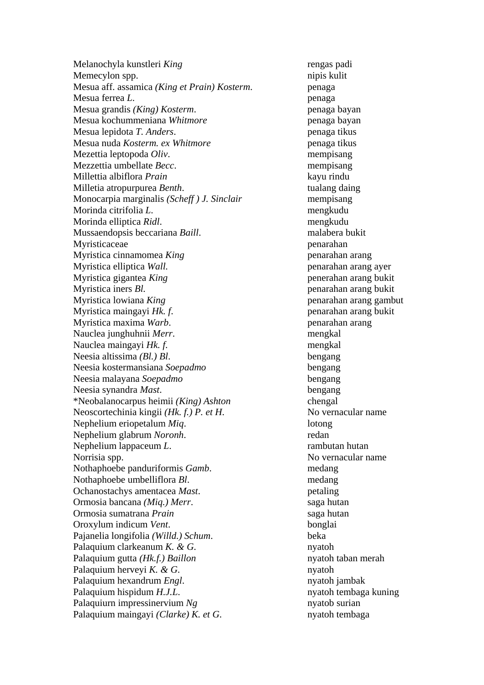Melanochyla kunstleri *King* rengas padi Memecylon spp. nipis kulit Mesua aff. assamica *(King et Prain) Kosterm*. penaga Mesua ferrea *L*. penaga Mesua grandis *(King) Kosterm*. penaga bayan Mesua kochummeniana *Whitmore* **penaga bayan** Mesua lepidota *T. Anders*. penaga tikus Mesua nuda *Kosterm. ex Whitmore* penaga tikus Mezettia leptopoda *Oliv*. mempisang Mezzettia umbellate *Becc*. mempisang Millettia albiflora *Prain* kayu rindu Milletia atropurpurea *Benth*. tualang daing Monocarpia marginalis *(Scheff ) J. Sinclair* mempisang Morinda citrifolia *L*. mengkudu Morinda elliptica *Ridl*. mengkudu Mussaendopsis beccariana *Baill*. malabera bukit Myristicaceae penarahan Myristica cinnamomea *King* penarahan arang Myristica elliptica *Wall.* penarahan arang ayer Myristica gigantea *King* penerahan arang bukit Myristica iners *Bl.* penarahan arang bukit Myristica lowiana *King* penarahan arang gambut Myristica maingayi *Hk. f*. penarahan arang bukit Myristica maxima *Warb*. penarahan arang Nauclea junghuhnii *Merr*. mengkal Nauclea maingayi *Hk. f*. mengkal Neesia altissima *(Bl.) Bl*. bengang Neesia kostermansiana *Soepadmo* bengang Neesia malayana *Soepadmo* bengang Neesia synandra *Mast*. bengang \*Neobalanocarpus heimii *(King) Ashton* chengal Neoscortechinia kingii *(Hk. f.) P. et H.* No vernacular name Nephelium eriopetalum *Miq*. lotong Nephelium glabrum *Noronh*. redan Nephelium lappaceum *L*. rambutan hutan Norrisia spp. No vernacular name Nothaphoebe panduriformis *Gamb*. medang Nothaphoebe umbelliflora *Bl*. medang Ochanostachys amentacea *Mast*. petaling Ormosia bancana *(Miq.) Merr*. saga hutan Ormosia sumatrana *Prain* saga hutan Oroxylum indicum *Vent*. bonglai Pajanelia longifolia *(Willd.) Schum*. beka Palaquium clarkeanum *K. & G.* nyatoh Palaquium gutta *(Hk.f.) Baillon* nyatoh taban merah Palaquium herveyi *K. & G.* nyatoh Palaquium hexandrum *Engl*. nyatoh jambak Palaquium hispidum *H.J.L.* nyatoh tembaga kuning Palaquiurn impressinervium *Ng* nyatob surian Palaquium maingayi *(Clarke) K. et G.* nyatoh tembaga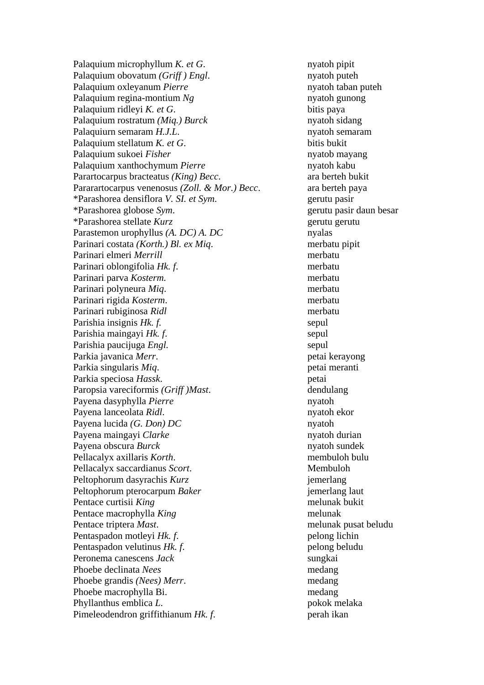Palaquium microphyllum *K. et G*. nyatoh pipit Palaquium obovatum *(Griff)* Engl. nyatoh puteh Palaquium oxleyanum *Pierre* nyatoh taban puteh Palaquium regina-montium *Ng* nyatoh gunong Palaquium ridleyi *K. et G.* bitis paya Palaquium rostratum *(Miq.) Burck* nyatoh sidang Palaquiurn semaram *H.J.L.* nyatoh semaram Palaquium stellatum *K. et G.* bitis bukit Palaquium sukoei *Fisher* nyatob mayang Palaquium xanthochymum *Pierre* nyatoh kabu Parartocarpus bracteatus *(King) Becc*. ara berteh bukit Pararartocarpus venenosus *(Zoll. & Mor.) Becc.* ara berteh paya \*Parashorea densiflora *V. SI. et Sym*. gerutu pasir \*Parashorea globose *Sym*. gerutu pasir daun besar \*Parashorea stellate *Kurz* gerutu gerutu Parastemon urophyllus *(A. DC) A. DC* nyalas Parinari costata *(Korth.) Bl. ex Miq*. merbatu pipit Parinari elmeri *Merrill* merbatu Parinari oblongifolia *Hk. f*. merbatu Parinari parva *Kosterm.* merbatu Parinari polyneura *Miq*. merbatu Parinari rigida *Kosterm*. merbatu Parinari rubiginosa *Ridl* merbatu Parishia insignis *Hk. f.* sepul Parishia maingayi *Hk. f.* sepul Parishia paucijuga *Engl.* sepul Parkia javanica *Merr*. petai kerayong Parkia singularis *Miq*. petai meranti Parkia speciosa *Hassk*. petai Paropsia vareciformis *(Griff )Mast*. dendulang Payena dasyphylla *Pierre* nyatoh Payena lanceolata *Ridl*. nyatoh ekor Payena lucida *(G. Don) DC* nyatoh Payena maingayi *Clarke* nyatoh durian Payena obscura *Burck* nyatoh sundek Pellacalyx axillaris *Korth*. membuloh bulu Pellacalyx saccardianus *Scort*. Membuloh Peltophorum dasyrachis *Kurz jemerlang* Peltophorum pterocarpum *Baker* in the interval intervalse intervalse intervalse intervalse intervalse intervalse intervalse intervalse intervalse intervalse intervalse intervalse intervalse intervalse intervalse intervals Pentace curtisii *King* melunak bukit Pentace macrophylla *King* melunak Pentace triptera *Mast*. melunak pusat beludu Pentaspadon motleyi *Hk. f.* pelong lichin Pentaspadon velutinus *Hk. f.* pelong beludu Peronema canescens *Jack* sungkai Phoebe declinata *Nees* medang Phoebe grandis *(Nees) Merr*. medang Phoebe macrophylla Bi. medang Phyllanthus emblica *L*. pokok melaka Pimeleodendron griffithianum *Hk. f.* perah ikan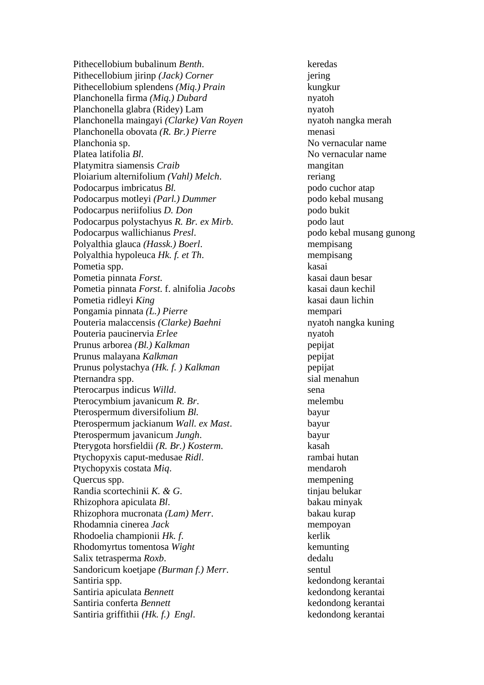Pithecellobium bubalinum *Benth*. keredas Pithecellobium jirinp *(Jack) Corner* jering Pithecellobium splendens *(Miq.) Prain* kungkur Planchonella firma *(Miq.) Dubard* nyatoh Planchonella glabra (Ridey) Lam nyatoh Planchonella maingayi *(Clarke) Van Royen* nyatoh nangka merah Planchonella obovata *(R. Br.) Pierre* menasi Planchonia sp. No vernacular name Platea latifolia *Bl*. No vernacular name Platymitra siamensis *Craib* mangitan Ploiarium alternifolium *(Vahl) Melch*. reriang Podocarpus imbricatus *Bl.* podo cuchor atap Podocarpus motleyi *(Parl.) Dummer* podo kebal musang Podocarpus neriifolius *D. Don* podo bukit Podocarpus polystachyus *R. Br. ex Mirb*. podo laut Podocarpus wallichianus *Presl*. podo kebal musang gunong Polyalthia glauca *(Hassk.) Boerl*. mempisang Polyalthia hypoleuca *Hk. f. et Th*. mempisang Pometia spp. kasai Pometia pinnata *Forst*. kasai daun besar Pometia pinnata *Forst*. f. alnifolia *Jacobs* kasai daun kechil Pometia ridleyi *King* kasai daun lichin Pongamia pinnata *(L.) Pierre* mempari Pouteria malaccensis *(Clarke) Baehni* nyatoh nangka kuning Pouteria paucinervia *Erlee* nyatoh Prunus arborea *(Bl.) Kalkman* pepijat Prunus malayana *Kalkman* pepijat Prunus polystachya *(Hk. f. ) Kalkman* pepijat Pternandra spp. sial menahun Pterocarpus indicus *Willd*. sena Pterocymbium javanicum *R. Br*. melembu Pterospermum diversifolium *Bl.* bayur Pterospermum jackianum *Wall. ex Mast*. bayur Pterospermum javanicum *Jungh*. bayur Pterygota horsfieldii *(R. Br.) Kosterm*. kasah Ptychopyxis caput-medusae *Ridl*. rambai hutan Ptychopyxis costata *Miq*. mendaroh Quercus spp. mempening Randia scortechinii *K. & G.* tinjau belukar Rhizophora apiculata *Bl*. bakau minyak Rhizophora mucronata *(Lam) Merr*. bakau kurap Rhodamnia cinerea *Jack* mempoyan Rhodoelia championii *Hk. f*. kerlik Rhodomyrtus tomentosa *Wight* kemunting Salix tetrasperma *Roxb*. dedalu Sandoricum koetjape *(Burman f.) Merr*. sentul Santiria spp. kedondong kerantai Santiria apiculata *Bennett* kedondong kerantai Santiria conferta *Bennett* kedondong kerantai Santiria griffithii *(Hk. f.) Engl.* kedondong kerantai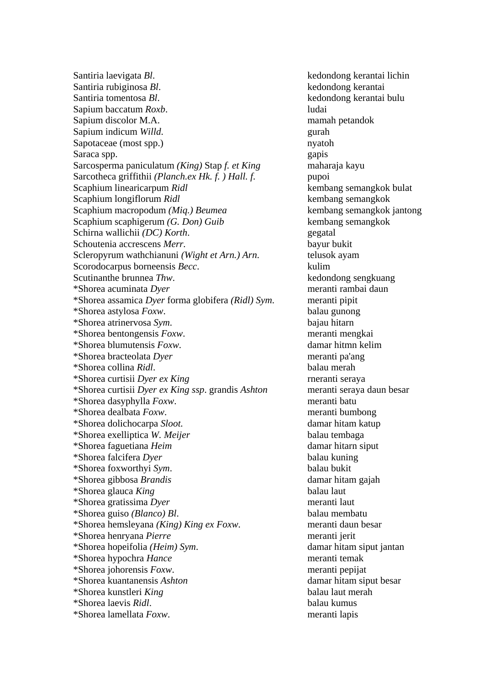Santiria laevigata *Bl*. kedondong kerantai lichin Santiria rubiginosa *Bl*. kedondong kerantai Santiria tomentosa *Bl*. kedondong kerantai bulu Sapium baccatum *Roxb*. ludai Sapium discolor M.A. mamah petandok Sapium indicum *Willd*. gurah Sapotaceae (most spp.) nyatoh Saraca spp. gapis Sarcosperma paniculatum *(King)* Stap *f. et King* maharaja kayu Sarcotheca griffithii *(Planch.ex Hk. f.) Hall. f.* pupoi Scaphium linearicarpum *Ridl* kembang semangkok bulat Scaphium longiflorum *Ridl* kembang semangkok Scaphium macropodum *(Mig.) Beumea* kembang semangkok jantong Scaphium scaphigerum *(G. Don) Guib* kembang semangkok Schirna wallichii *(DC) Korth*. gegatal Schoutenia accrescens *Merr*. bayur bukit Scleropyrum wathchianuni *(Wight et Arn.) Arn*. telusok ayam Scorodocarpus borneensis *Becc*. kulim Scutinanthe brunnea *Thw*. kedondong sengkuang \*Shorea acuminata *Dyer* meranti rambai daun \*Shorea assamica *Dyer* forma globifera *(Ridl) Sym*. meranti pipit \*Shorea astylosa *Foxw*. balau gunong \*Shorea atrinervosa *Sym*. bajau hitarn \*Shorea bentongensis *Foxw*. meranti mengkai \*Shorea blumutensis *Foxw*. damar hitmn kelim \*Shorea bracteolata *Dyer* meranti pa'ang \*Shorea collina *Ridl*. balau merah \*Shorea curtisii *Dyer ex King* rneranti seraya \*Shorea curtisii *Dyer ex King ssp*. grandis *Ashton* meranti seraya daun besar \*Shorea dasyphylla *Foxw*. meranti batu \*Shorea dealbata *Foxw*. meranti bumbong \*Shorea dolichocarpa *Sloot.* damar hitam katup \*Shorea exelliptica *W. Meijer* balau tembaga \*Shorea faguetiana *Heim* damar hitarn siput \*Shorea falcifera *Dyer* balau kuning \*Shorea foxworthyi *Sym*. balau bukit \*Shorea gibbosa *Brandis* damar hitam gajah \*Shorea glauca *King* balau laut \*Shorea gratissima *Dyer* meranti laut \*Shorea guiso *(Blanco) Bl*. balau membatu \*Shorea hemsleyana *(King) King ex Foxw*. meranti daun besar \*Shorea henryana *Pierre* meranti jerit \*Shorea hopeifolia *(Heim) Sym*. damar hitam siput jantan \*Shorea hypochra *Hance* meranti temak \*Shorea johorensis *Foxw*. meranti pepijat \*Shorea kuantanensis *Ashton* damar hitam siput besar \*Shorea kunstleri *King* balau laut merah \*Shorea laevis *Ridl*. balau kumus \*Shorea lamellata *Foxw*. meranti lapis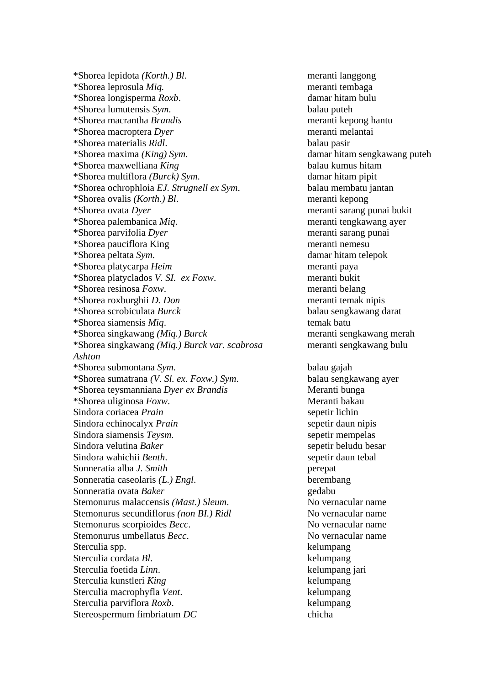\*Shorea lepidota *(Korth.) Bl*. meranti langgong \*Shorea leprosula *Miq.* meranti tembaga \*Shorea longisperma *Roxb*. damar hitam bulu \*Shorea lumutensis *Sym*. balau puteh \*Shorea macrantha *Brandis* meranti kepong hantu \*Shorea macroptera *Dyer* meranti melantai \*Shorea materialis *Ridl*. balau pasir \*Shorea maxima *(King) Sym*. damar hitam sengkawang puteh \*Shorea maxwelliana *King* balau kumus hitam \*Shorea multiflora *(Burck) Sym*. damar hitam pipit \*Shorea ochrophloia *EJ. Strugnell ex Sym*. balau membatu jantan \*Shorea ovalis *(Korth.) Bl*. meranti kepong \*Shorea ovata *Dyer* meranti sarang punai bukit \*Shorea palembanica *Miq*. meranti tengkawang ayer \*Shorea parvifolia *Dyer* meranti sarang punai \*Shorea pauciflora King meranti nemesu \*Shorea peltata *Sym*. damar hitam telepok \*Shorea platycarpa *Heim* meranti paya \*Shorea platyclados *V. SI. ex Foxw*. meranti bukit \*Shorea resinosa *Foxw*. meranti belang \*Shorea roxburghii *D. Don* meranti temak nipis \*Shorea scrobiculata *Burck* balau sengkawang darat \*Shorea siamensis *Miq*. temak batu \*Shorea singkawang *(Miq.) Burck* meranti sengkawang merah \*Shorea singkawang *(Miq.) Burck var. scabrosa* meranti sengkawang bulu *Ashton*  \*Shorea submontana *Sym*. balau gajah \*Shorea sumatrana *(V. Sl. ex. Foxw.) Sym*. balau sengkawang ayer \*Shorea teysmanniana *Dyer ex Brandis* Meranti bunga \*Shorea uliginosa *Foxw*. Meranti bakau Sindora coriacea *Prain* sepetir lichin Sindora echinocalyx *Prain* sepetir daun nipis Sindora siamensis *Teysm*. Sepetir mempelas Sindora velutina *Baker* sepetir beludu besar Sindora wahichii *Benth*. sepetir daun tebal Sonneratia alba *J. Smith* perepat Sonneratia caseolaris *(L.) Engl*. berembang Sonneratia ovata *Baker* gedabu Stemonurus malaccensis *(Mast.) Sleum*. No vernacular name Stemonurus secundiflorus *(non BI.) Ridl* No vernacular name Stemonurus scorpioides *Becc*. No vernacular name Stemonurus umbellatus *Becc*. No vernacular name Sterculia spp.  $\blacksquare$ Sterculia cordata *Bl.* kelumpang Sterculia foetida *Linn*. kelumpang jari Sterculia kunstleri *King* kelumpang Sterculia macrophyfla *Vent*. kelumpang Sterculia parviflora *Roxb*. kelumpang Stereospermum fimbriatum *DC* chicha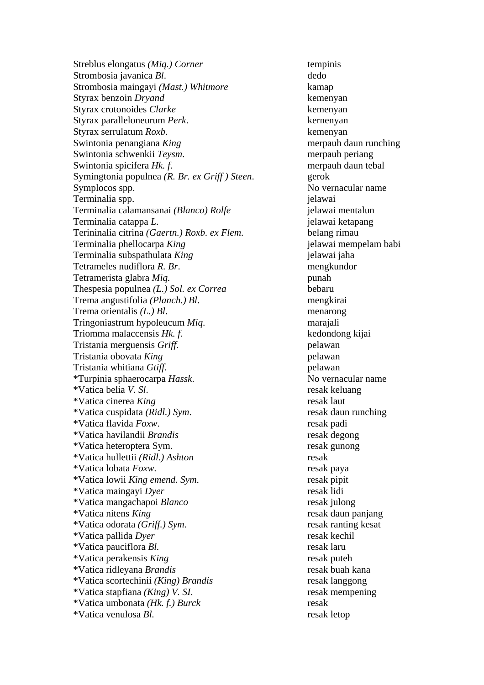Streblus elongatus *(Miq.) Corner* tempinis Strombosia javanica *Bl*. dedo Strombosia maingayi *(Mast.) Whitmore* kamap Styrax benzoin *Dryand* kemenyan Styrax crotonoides *Clarke* kemenyan Styrax paralleloneurum *Perk*. kernenyan Styrax serrulatum *Roxb*. kemenyan Swintonia penangiana *King* **merpauh daun runching** merpauh daun runching Swintonia schwenkii *Teysm*. merpauh periang Swintonia spicifera *Hk. f.* merpauh daun tebal Symingtonia populnea *(R. Br. ex Griff ) Steen*. gerok Symplocos spp. No vernacular name Terminalia spp. jelawai Terminalia calamansanai *(Blanco) Rolfe* ielawai mentalun Terminalia catappa *L*. jelawai ketapang Terininalia citrina *(Gaertn.) Roxb. ex Flem*. belang rimau Terminalia phellocarpa *King* ielawai mempelam babi Terminalia subspathulata *King* jelawai jaha Tetrameles nudiflora *R. Br*. mengkundor Tetramerista glabra *Miq.* punah Thespesia populnea *(L.) Sol. ex Correa* bebaru Trema angustifolia *(Planch.) Bl*. mengkirai Trema orientalis *(L.) Bl*. menarong Tringoniastrum hypoleucum *Miq*. marajali Triomma malaccensis *Hk. f*. kedondong kijai Tristania merguensis *Griff*. pelawan Tristania obovata *King* pelawan Tristania whitiana *Gtiff*. pelawan \*Turpinia sphaerocarpa *Hassk*. No vernacular name \*Vatica belia *V. Sl*. resak keluang \*Vatica cinerea *King* resak laut \*Vatica cuspidata *(Ridl.) Sym*. resak daun runching \*Vatica flavida *Foxw*. resak padi \*Vatica havilandii *Brandis* resak degong \*Vatica heteroptera Sym. resak gunong \*Vatica hullettii *(Ridl.) Ashton* resak \*Vatica lobata *Foxw*. resak paya \*Vatica lowii *King emend. Sym*. resak pipit \*Vatica maingayi *Dyer* resak lidi \*Vatica mangachapoi *Blanco* resak julong \*Vatica nitens *King* resak daun panjang \*Vatica odorata *(Griff.) Sym*. resak ranting kesat \*Vatica pallida *Dyer* resak kechil \*Vatica pauciflora *Bl.* resak laru \*Vatica perakensis *King* resak puteh \*Vatica ridleyana *Brandis* resak buah kana \*Vatica scortechinii *(King) Brandis* resak langgong \*Vatica stapfiana *(King) V. SI*. resak mempening \*Vatica umbonata *(Hk. f.) Burck* resak \*Vatica venulosa *Bl.* resak letop